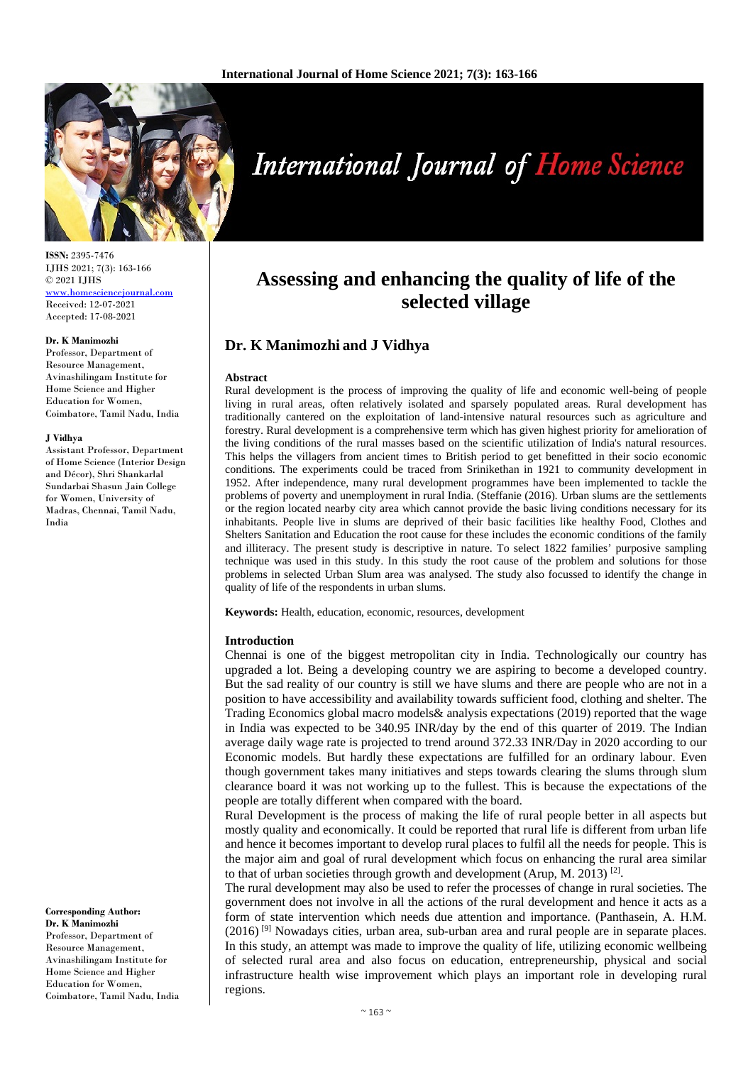

**ISSN:** 2395-7476 IJHS 2021; 7(3): 163-166 © 2021 IJHS [www.homesciencejournal.com](http://www.homesciencejournal.com/) Received: 12-07-2021 Accepted: 17-08-2021

#### **Dr. K Manimozhi**

Professor, Department of Resource Management, Avinashilingam Institute for Home Science and Higher Education for Women, Coimbatore, Tamil Nadu, India

#### **J Vidhya**

Assistant Professor, Department of Home Science (Interior Design and Décor), Shri Shankarlal Sundarbai Shasun Jain College for Women, University of Madras, Chennai, Tamil Nadu, India

**Corresponding Author: Dr. K Manimozhi** Professor, Department of Resource Management, Avinashilingam Institute for Home Science and Higher Education for Women, Coimbatore, Tamil Nadu, India

# **International Journal of Home Science**

## **Assessing and enhancing the quality of life of the selected village**

### **Dr. K Manimozhi and J Vidhya**

#### **Abstract**

Rural development is the process of improving the quality of life and economic well-being of people living in rural areas, often relatively isolated and sparsely populated areas. Rural development has traditionally cantered on the exploitation of land-intensive natural resources such as agriculture and forestry. Rural development is a comprehensive term which has given highest priority for amelioration of the living conditions of the rural masses based on the scientific utilization of India's natural resources. This helps the villagers from ancient times to British period to get benefitted in their socio economic conditions. The experiments could be traced from Srinikethan in 1921 to community development in 1952. After independence, many rural development programmes have been implemented to tackle the problems of poverty and unemployment in rural India. (Steffanie (2016)*.* Urban slums are the settlements or the region located nearby city area which cannot provide the basic living conditions necessary for its inhabitants. People live in slums are deprived of their basic facilities like healthy Food, Clothes and Shelters Sanitation and Education the root cause for these includes the economic conditions of the family and illiteracy. The present study is descriptive in nature. To select 1822 families' purposive sampling technique was used in this study. In this study the root cause of the problem and solutions for those problems in selected Urban Slum area was analysed. The study also focussed to identify the change in quality of life of the respondents in urban slums.

**Keywords:** Health, education, economic, resources, development

#### **Introduction**

Chennai is one of the biggest metropolitan city in India. Technologically our country has upgraded a lot. Being a developing country we are aspiring to become a developed country. But the sad reality of our country is still we have slums and there are people who are not in a position to have accessibility and availability towards sufficient food, clothing and shelter. The Trading Economics global macro models& analysis expectations (2019) reported that the wage in India was expected to be 340.95 INR/day by the end of this quarter of 2019. The Indian average daily wage rate is projected to trend around 372.33 INR/Day in 2020 according to our Economic models. But hardly these expectations are fulfilled for an ordinary labour. Even though government takes many initiatives and steps towards clearing the slums through slum clearance board it was not working up to the fullest. This is because the expectations of the people are totally different when compared with the board.

Rural Development is the process of making the life of rural people better in all aspects but mostly quality and economically. It could be reported that rural life is different from urban life and hence it becomes important to develop rural places to fulfil all the needs for people. This is the major aim and goal of rural development which focus on enhancing the rural area similar to that of urban societies through growth and development (Arup, M. 2013) <sup>[2]</sup>.

The rural development may also be used to refer the processes of change in rural societies. The government does not involve in all the actions of the rural development and hence it acts as a form of state intervention which needs due attention and importance. (Panthasein, A. H.M.  $(2016)$ <sup>[9]</sup> Nowadays cities, urban area, sub-urban area and rural people are in separate places. In this study, an attempt was made to improve the quality of life, utilizing economic wellbeing of selected rural area and also focus on education, entrepreneurship, physical and social infrastructure health wise improvement which plays an important role in developing rural regions.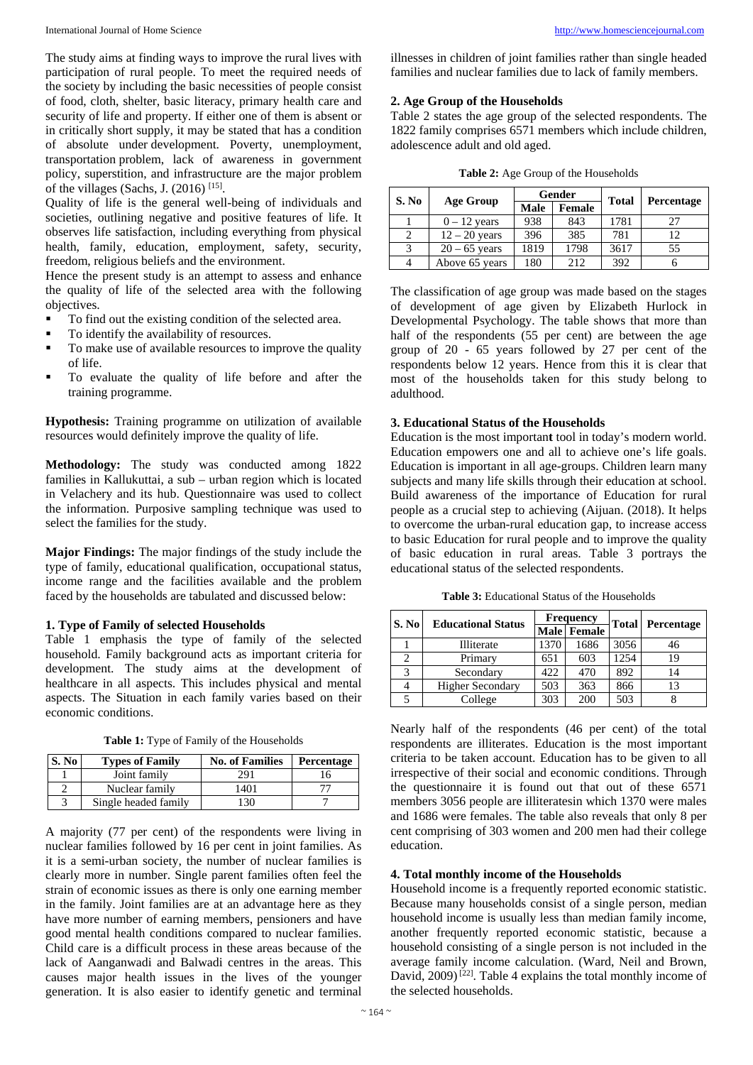The study aims at finding ways to improve the rural lives with participation of rural people. To meet the required needs of the society by including the basic necessities of people consist of food, cloth, shelter, basic literacy, primary health care and security of life and property. If either one of them is absent or in critically short supply, it may be stated that has a condition of absolute under development. Poverty, unemployment, transportation problem, lack of awareness in government policy, superstition, and infrastructure are the major problem of the villages (Sachs, J.  $(2016)$ <sup>[15]</sup>.

Quality of life is the general well-being of individuals and societies, outlining negative and positive features of life. It observes life satisfaction, including everything from physical health, family, education, employment, safety, security, freedom, religious beliefs and the environment.

Hence the present study is an attempt to assess and enhance the quality of life of the selected area with the following objectives.

- To find out the existing condition of the selected area.
- To identify the availability of resources.
- To make use of available resources to improve the quality of life.
- To evaluate the quality of life before and after the training programme.

**Hypothesis:** Training programme on utilization of available resources would definitely improve the quality of life.

**Methodology:** The study was conducted among 1822 families in Kallukuttai, a sub – urban region which is located in Velachery and its hub. Questionnaire was used to collect the information. Purposive sampling technique was used to select the families for the study.

**Major Findings:** The major findings of the study include the type of family, educational qualification, occupational status, income range and the facilities available and the problem faced by the households are tabulated and discussed below:

#### **1. Type of Family of selected Households**

Table 1 emphasis the type of family of the selected household. Family background acts as important criteria for development. The study aims at the development of healthcare in all aspects. This includes physical and mental aspects. The Situation in each family varies based on their economic conditions.

**Table 1:** Type of Family of the Households

| S. No | <b>Types of Family</b> | <b>No. of Families</b> | Percentage |
|-------|------------------------|------------------------|------------|
|       | Joint family           | 291                    |            |
|       | Nuclear family         | 1401                   |            |
|       | Single headed family   | -30                    |            |

A majority (77 per cent) of the respondents were living in nuclear families followed by 16 per cent in joint families. As it is a semi-urban society, the number of nuclear families is clearly more in number. Single parent families often feel the strain of economic issues as there is only one earning member in the family. Joint families are at an advantage here as they have more number of earning members, pensioners and have good mental health conditions compared to nuclear families. Child care is a difficult process in these areas because of the lack of Aanganwadi and Balwadi centres in the areas. This causes major health issues in the lives of the younger generation. It is also easier to identify genetic and terminal

illnesses in children of joint families rather than single headed families and nuclear families due to lack of family members.

#### **2. Age Group of the Households**

Table 2 states the age group of the selected respondents. The 1822 family comprises 6571 members which include children, adolescence adult and old aged.

**Table 2:** Age Group of the Households

| S. No | <b>Age Group</b> | Gender |               | <b>Total</b> | Percentage |
|-------|------------------|--------|---------------|--------------|------------|
|       |                  | Male   | <b>Female</b> |              |            |
|       | $0 - 12$ years   | 938    | 843           | 1781         | 27         |
|       | $12 - 20$ years  | 396    | 385           | 781          | 12         |
|       | $20 - 65$ years  | 1819   | 1798          | 3617         | 55         |
|       | Above 65 years   | 180    | 2.12          | 392          |            |

The classification of age group was made based on the stages of development of age given by Elizabeth Hurlock in Developmental Psychology. The table shows that more than half of the respondents (55 per cent) are between the age group of 20 - 65 years followed by 27 per cent of the respondents below 12 years. Hence from this it is clear that most of the households taken for this study belong to adulthood.

#### **3. Educational Status of the Households**

Education is the most importan**t** tool in today's modern world. Education empowers one and all to achieve one's life goals. Education is important in all age-groups. Children learn many subjects and many life skills through their education at school. Build awareness of the importance of Education for rural people as a crucial step to achieving (Aijuan. (2018). It helps to overcome the urban-rural education gap, to increase access to basic Education for rural people and to improve the quality of basic education in rural areas. Table 3 portrays the educational status of the selected respondents.

**Table 3:** Educational Status of the Households

| S. No | <b>Educational Status</b> | <b>Frequency</b> |             |      | <b>Total Percentage</b> |
|-------|---------------------------|------------------|-------------|------|-------------------------|
|       |                           |                  | Male Female |      |                         |
|       | Illiterate                | 1370             | 1686        | 3056 | 46                      |
|       | Primary                   | 651              | 603         | 1254 | 19                      |
| 3     | Secondary                 | 422              | 470         | 892  | 14                      |
|       | <b>Higher Secondary</b>   | 503              | 363         | 866  | 13                      |
|       | College                   | 303              | 200         | 503  |                         |

Nearly half of the respondents (46 per cent) of the total respondents are illiterates. Education is the most important criteria to be taken account. Education has to be given to all irrespective of their social and economic conditions. Through the questionnaire it is found out that out of these 6571 members 3056 people are illiteratesin which 1370 were males and 1686 were females. The table also reveals that only 8 per cent comprising of 303 women and 200 men had their college education.

#### **4. Total monthly income of the Households**

Household income is a frequently reported economic statistic. Because many households consist of a single person, median household income is usually less than median family income, another frequently reported economic statistic, because a household consisting of a single person is not included in the average family income calculation. (Ward, Neil and Brown, David,  $2009$ <sup>[22]</sup>. Table 4 explains the total monthly income of the selected households.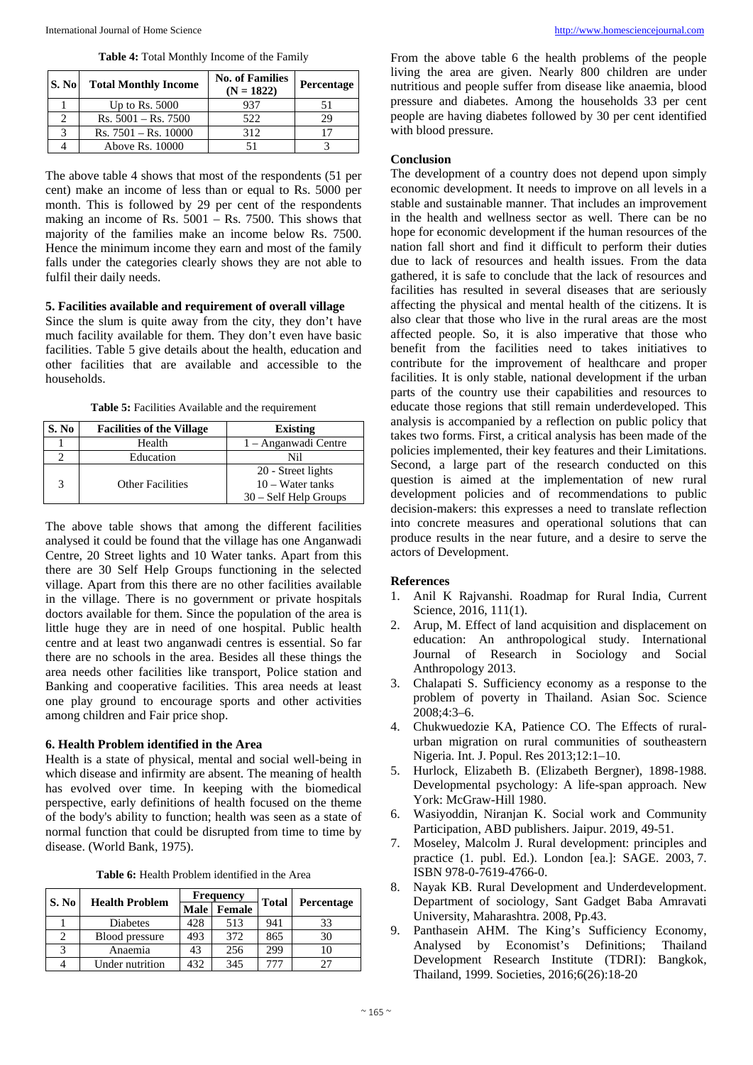| S. No | <b>Total Monthly Income</b> | <b>No. of Families</b><br>$(N = 1822)$ | Percentage |
|-------|-----------------------------|----------------------------------------|------------|
|       | Up to Rs. $5000$            | 937                                    |            |
|       | $Rs. 5001 - Rs. 7500$       | 522                                    | 29         |
| 3     | $Rs. 7501 - Rs. 10000$      | 312                                    |            |
|       | Above Rs. 10000             |                                        |            |

**Table 4:** Total Monthly Income of the Family

The above table 4 shows that most of the respondents (51 per cent) make an income of less than or equal to Rs. 5000 per month. This is followed by 29 per cent of the respondents making an income of Rs.  $5001 -$  Rs. 7500. This shows that majority of the families make an income below Rs. 7500. Hence the minimum income they earn and most of the family falls under the categories clearly shows they are not able to fulfil their daily needs.

#### **5. Facilities available and requirement of overall village**

Since the slum is quite away from the city, they don't have much facility available for them. They don't even have basic facilities. Table 5 give details about the health, education and other facilities that are available and accessible to the households.

Table 5: Facilities Available and the requirement

| S. No | <b>Facilities of the Village</b> | <b>Existing</b>                          |
|-------|----------------------------------|------------------------------------------|
|       | Health                           | 1 – Anganwadi Centre                     |
|       | Education                        | Nil                                      |
| 3     | <b>Other Facilities</b>          | 20 - Street lights<br>$10 - Water$ tanks |
|       |                                  | $30 - Self Help$ Groups                  |

The above table shows that among the different facilities analysed it could be found that the village has one Anganwadi Centre, 20 Street lights and 10 Water tanks. Apart from this there are 30 Self Help Groups functioning in the selected village. Apart from this there are no other facilities available in the village. There is no government or private hospitals doctors available for them. Since the population of the area is little huge they are in need of one hospital. Public health centre and at least two anganwadi centres is essential. So far there are no schools in the area. Besides all these things the area needs other facilities like transport, Police station and Banking and cooperative facilities. This area needs at least one play ground to encourage sports and other activities among children and Fair price shop.

#### **6. Health Problem identified in the Area**

Health is a state of physical, mental and social well-being in which disease and infirmity are absent. The meaning of health has evolved over time. In keeping with the biomedical perspective, early definitions of health focused on the theme of the body's ability to function; health was seen as a state of normal function that could be disrupted from time to time by disease. (World Bank, 1975).

**Table 6:** Health Problem identified in the Area

| S. No | <b>Health Problem</b> | <b>Frequency</b> |               |              |                   |
|-------|-----------------------|------------------|---------------|--------------|-------------------|
|       |                       | <b>Male</b>      | <b>Female</b> | <b>Total</b> | <b>Percentage</b> |
|       | Diabetes              | 428              | 513           | 941          | 33                |
|       | Blood pressure        | 493              | 372           | 865          | 30                |
|       | Anaemia               | 43               | 256           | 299          | 10                |
|       | Under nutrition       | 432              | 345           | 777          | フフ                |

From the above table 6 the health problems of the people living the area are given. Nearly 800 children are under nutritious and people suffer from disease like anaemia, blood pressure and diabetes. Among the households 33 per cent people are having diabetes followed by 30 per cent identified with blood pressure.

#### **Conclusion**

The development of a country does not depend upon simply economic development. It needs to improve on all levels in a stable and sustainable manner. That includes an improvement in the health and wellness sector as well. There can be no hope for economic development if the human resources of the nation fall short and find it difficult to perform their duties due to lack of resources and health issues. From the data gathered, it is safe to conclude that the lack of resources and facilities has resulted in several diseases that are seriously affecting the physical and mental health of the citizens. It is also clear that those who live in the rural areas are the most affected people. So, it is also imperative that those who benefit from the facilities need to takes initiatives to contribute for the improvement of healthcare and proper facilities. It is only stable, national development if the urban parts of the country use their capabilities and resources to educate those regions that still remain underdeveloped. This analysis is accompanied by a reflection on public policy that takes two forms. First, a critical analysis has been made of the policies implemented, their key features and their Limitations. Second, a large part of the research conducted on this question is aimed at the implementation of new rural development policies and of recommendations to public decision-makers: this expresses a need to translate reflection into concrete measures and operational solutions that can produce results in the near future, and a desire to serve the actors of Development.

#### **References**

- 1. Anil K Rajvanshi. Roadmap for Rural India, Current Science, 2016, 111(1).
- 2. Arup, M. Effect of land acquisition and displacement on education: An anthropological study. International Journal of Research in Sociology and Social Anthropology 2013.
- 3. Chalapati S. Sufficiency economy as a response to the problem of poverty in Thailand. Asian Soc. Science 2008;4:3–6.
- 4. Chukwuedozie KA, Patience CO. The Effects of ruralurban migration on rural communities of southeastern Nigeria. Int. J. Popul. Res 2013;12:1–10.
- 5. Hurlock, Elizabeth B. (Elizabeth Bergner), 1898-1988. Developmental psychology: A life-span approach. New York: McGraw-Hill 1980.
- 6. Wasiyoddin, Niranjan K. Social work and Community Participation, ABD publishers. Jaipur. 2019, 49-51.
- 7. Moseley, Malcolm J. Rural development: principles and practice (1. publ. Ed.). London [ea.]: SAGE. 2003, 7. ISBN 978-0-7619-4766-0.
- 8. Nayak KB. Rural Development and Underdevelopment. Department of sociology, Sant Gadget Baba Amravati University, Maharashtra. 2008, Pp.43.
- 9. Panthasein AHM. The King's Sufficiency Economy, Analysed by Economist's Definitions; Thailand Development Research Institute (TDRI): Bangkok, Thailand, 1999. Societies, 2016;6(26):18-20